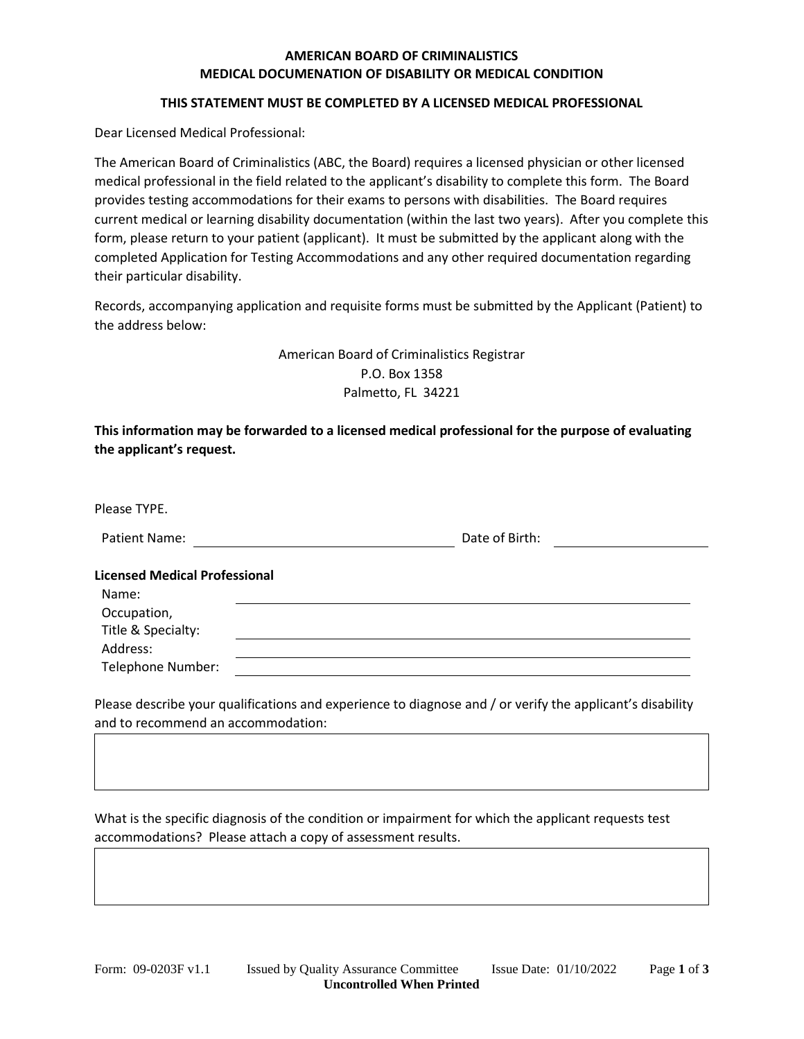# **AMERICAN BOARD OF CRIMINALISTICS MEDICAL DOCUMENATION OF DISABILITY OR MEDICAL CONDITION**

### **THIS STATEMENT MUST BE COMPLETED BY A LICENSED MEDICAL PROFESSIONAL**

Dear Licensed Medical Professional:

The American Board of Criminalistics (ABC, the Board) requires a licensed physician or other licensed medical professional in the field related to the applicant's disability to complete this form. The Board provides testing accommodations for their exams to persons with disabilities. The Board requires current medical or learning disability documentation (within the last two years). After you complete this form, please return to your patient (applicant). It must be submitted by the applicant along with the completed Application for Testing Accommodations and any other required documentation regarding their particular disability.

Records, accompanying application and requisite forms must be submitted by the Applicant (Patient) to the address below:

> American Board of Criminalistics Registrar P.O. Box 1358 Palmetto, FL 34221

**This information may be forwarded to a licensed medical professional for the purpose of evaluating the applicant's request.**

| Please TYPE.                         |                |
|--------------------------------------|----------------|
| Patient Name:                        | Date of Birth: |
| <b>Licensed Medical Professional</b> |                |
| Name:                                |                |
| Occupation,                          |                |
| Title & Specialty:                   |                |
| Address:                             |                |
| Telephone Number:                    |                |
|                                      |                |

Please describe your qualifications and experience to diagnose and / or verify the applicant's disability and to recommend an accommodation:

What is the specific diagnosis of the condition or impairment for which the applicant requests test accommodations? Please attach a copy of assessment results.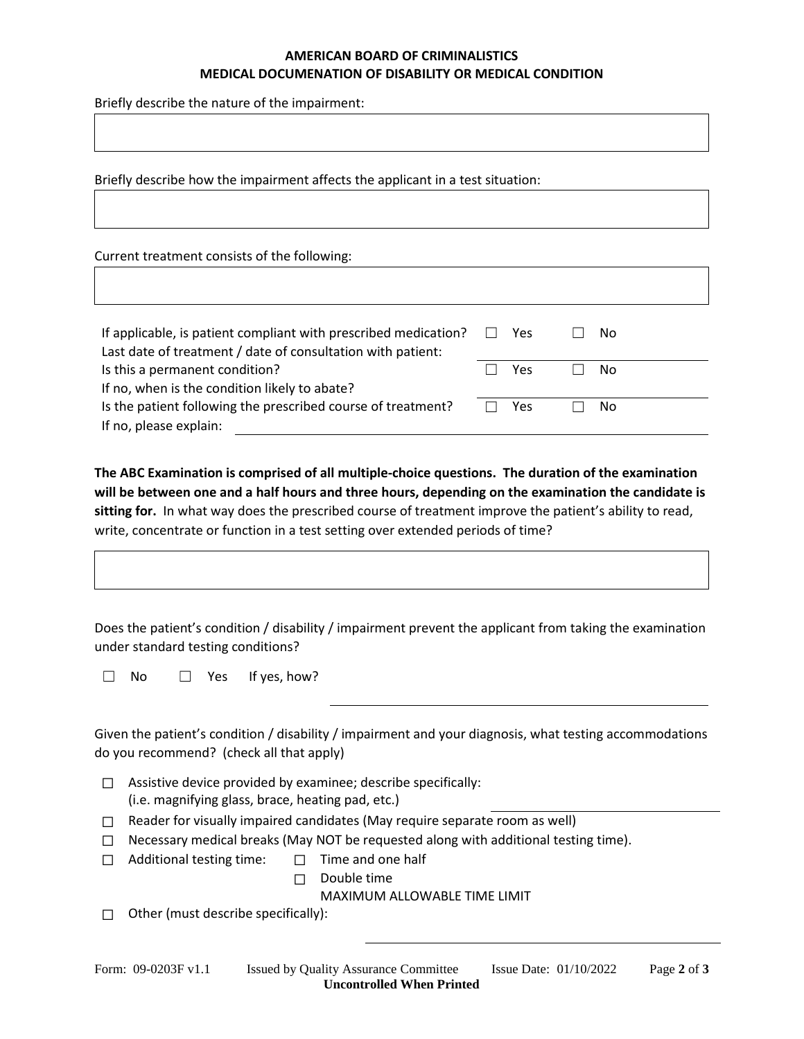## **AMERICAN BOARD OF CRIMINALISTICS MEDICAL DOCUMENATION OF DISABILITY OR MEDICAL CONDITION**

Briefly describe the nature of the impairment:

Briefly describe how the impairment affects the applicant in a test situation:

Current treatment consists of the following:

| If applicable, is patient compliant with prescribed medication?<br>Last date of treatment / date of consultation with patient: |  | Yes |  | No. |  |
|--------------------------------------------------------------------------------------------------------------------------------|--|-----|--|-----|--|
| Is this a permanent condition?                                                                                                 |  | Yes |  | Nο  |  |
| If no, when is the condition likely to abate?                                                                                  |  |     |  |     |  |
| Is the patient following the prescribed course of treatment?                                                                   |  | Yes |  | No  |  |
| If no, please explain:                                                                                                         |  |     |  |     |  |

**The ABC Examination is comprised of all multiple-choice questions. The duration of the examination will be between one and a half hours and three hours, depending on the examination the candidate is sitting for.** In what way does the prescribed course of treatment improve the patient's ability to read, write, concentrate or function in a test setting over extended periods of time?

Does the patient's condition / disability / impairment prevent the applicant from taking the examination under standard testing conditions?

☐ No ☐ Yes If yes, how?

Given the patient's condition / disability / impairment and your diagnosis, what testing accommodations do you recommend? (check all that apply)

- ☐ Assistive device provided by examinee; describe specifically: (i.e. magnifying glass, brace, heating pad, etc.)
- ☐ Reader for visually impaired candidates (May require separate room as well)
- $\Box$  Necessary medical breaks (May NOT be requested along with additional testing time).
- ☐ Additional testing time: ☐ Time and one half
	- ☐ Double time

MAXIMUM ALLOWABLE TIME LIMIT

 $\Box$  Other (must describe specifically):